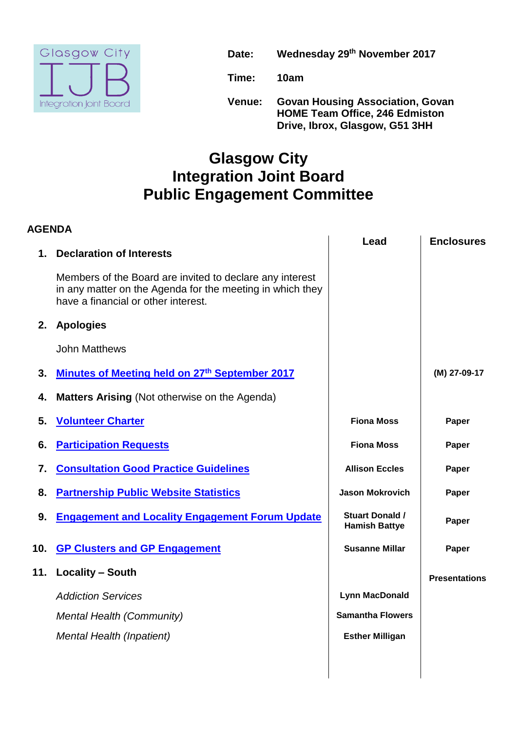

**Date: Wednesday 29 th November 2017**

**Time: 10am**

**Venue: Govan Housing Association, Govan HOME Team Office, 246 Edmiston Drive, Ibrox, Glasgow, G51 3HH**

## **Glasgow City Integration Joint Board Public Engagement Committee**

| <b>AGENDA</b>   |                                                                                                                                                              |                                                |                      |
|-----------------|--------------------------------------------------------------------------------------------------------------------------------------------------------------|------------------------------------------------|----------------------|
| $\mathbf 1$ .   | <b>Declaration of Interests</b>                                                                                                                              | Lead                                           | <b>Enclosures</b>    |
|                 | Members of the Board are invited to declare any interest<br>in any matter on the Agenda for the meeting in which they<br>have a financial or other interest. |                                                |                      |
| 2.              | <b>Apologies</b>                                                                                                                                             |                                                |                      |
|                 | <b>John Matthews</b>                                                                                                                                         |                                                |                      |
| 3.              | <b>Minutes of Meeting held on 27th September 2017</b>                                                                                                        |                                                | (M) 27-09-17         |
| 4.              | <b>Matters Arising (Not otherwise on the Agenda)</b>                                                                                                         |                                                |                      |
| 5.              | <b>Volunteer Charter</b>                                                                                                                                     | <b>Fiona Moss</b>                              | Paper                |
| 6.              | <b>Participation Requests</b>                                                                                                                                | <b>Fiona Moss</b>                              | Paper                |
| 7.              | <b>Consultation Good Practice Guidelines</b>                                                                                                                 | <b>Allison Eccles</b>                          | Paper                |
| 8.              | <b>Partnership Public Website Statistics</b>                                                                                                                 | <b>Jason Mokrovich</b>                         | Paper                |
| 9.              | <b>Engagement and Locality Engagement Forum Update</b>                                                                                                       | <b>Stuart Donald /</b><br><b>Hamish Battye</b> | Paper                |
| 10 <sub>1</sub> | <b>GP Clusters and GP Engagement</b>                                                                                                                         | <b>Susanne Millar</b>                          | Paper                |
| 11.             | <b>Locality - South</b>                                                                                                                                      |                                                | <b>Presentations</b> |
|                 | <b>Addiction Services</b>                                                                                                                                    | <b>Lynn MacDonald</b>                          |                      |
|                 | <b>Mental Health (Community)</b>                                                                                                                             | <b>Samantha Flowers</b>                        |                      |
|                 | Mental Health (Inpatient)                                                                                                                                    | <b>Esther Milligan</b>                         |                      |
|                 |                                                                                                                                                              |                                                |                      |
|                 |                                                                                                                                                              |                                                |                      |